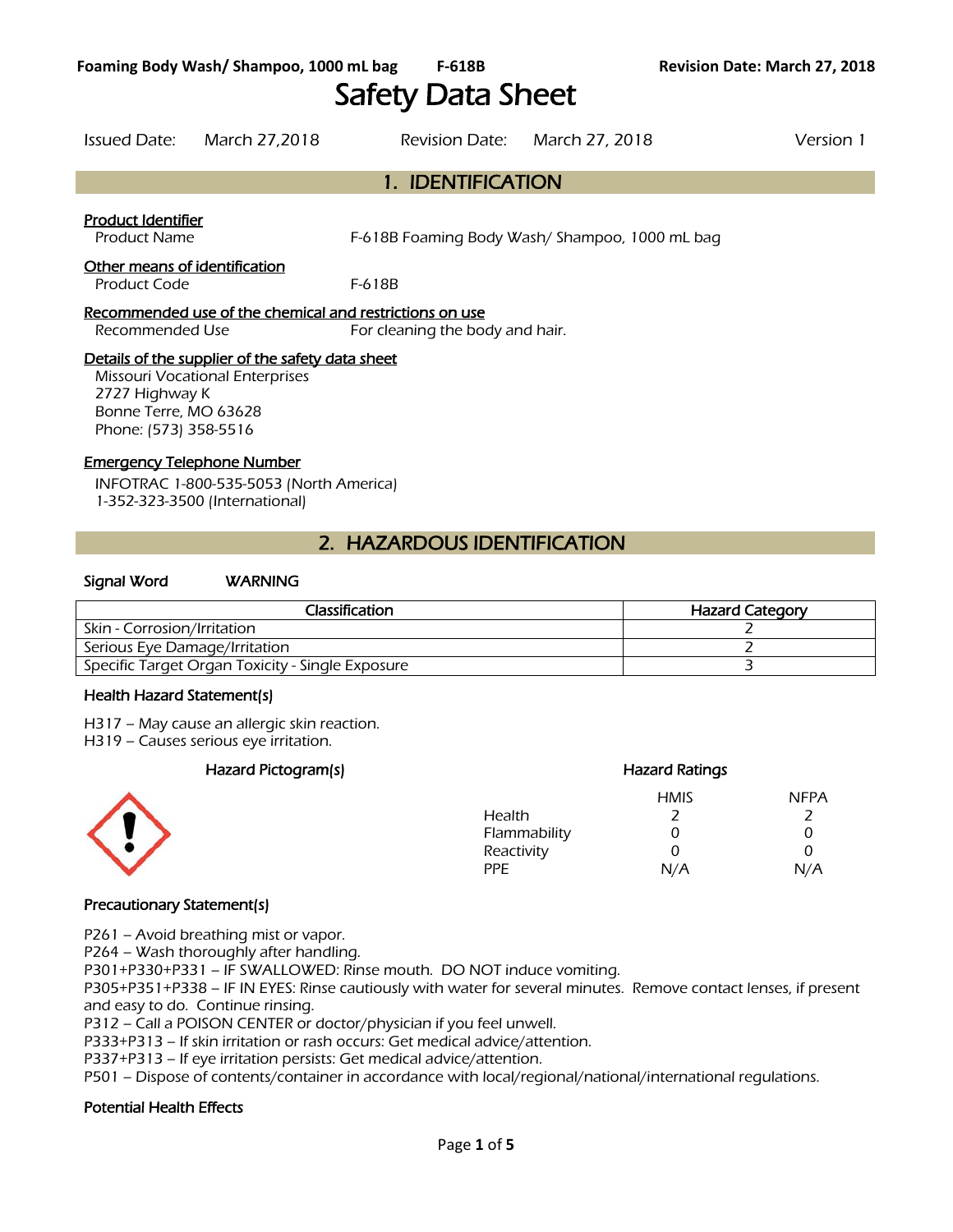# Safety Data Sheet

Issued Date: March 27,2018 Revision Date: March 27, 2018 Version 1 1. IDENTIFICATION Product Identifier Product Name F-618B Foaming Body Wash/ Shampoo, 1000 mL bag Other means of identification Product Code F-618B Recommended use of the chemical and restrictions on use Recommended Use For cleaning the body and hair. Details of the supplier of the safety data sheet Missouri Vocational Enterprises 2727 Highway K

Bonne Terre, MO 63628 Phone: (573) 358-5516

### Emergency Telephone Number

INFOTRAC 1-800-535-5053 (North America) 1-352-323-3500 (International)

# 2. HAZARDOUS IDENTIFICATION

### Signal Word WARNING

| Classification                                   | <b>Hazard Category</b> |
|--------------------------------------------------|------------------------|
| Skin - Corrosion/Irritation                      |                        |
| Serious Eye Damage/Irritation                    |                        |
| Specific Target Organ Toxicity - Single Exposure |                        |
|                                                  |                        |

### Health Hazard Statement(s)

H317 – May cause an allergic skin reaction.

H319 – Causes serious eye irritation.

### Hazard Pictogram(s) extending the extending Hazard Ratings



#### HMIS NFPA Health 2 2 Flammability 0 0 0 Reactivity 0 0 0 PPE N/A N/A

### Precautionary Statement(s)

P261 – Avoid breathing mist or vapor.

P264 – Wash thoroughly after handling.

P301+P330+P331 – IF SWALLOWED: Rinse mouth. DO NOT induce vomiting.

P305+P351+P338 – IF IN EYES: Rinse cautiously with water for several minutes. Remove contact lenses, if present and easy to do. Continue rinsing.

P312 – Call a POISON CENTER or doctor/physician if you feel unwell.

P333+P313 – If skin irritation or rash occurs: Get medical advice/attention.

P337+P313 – If eye irritation persists: Get medical advice/attention.

P501 – Dispose of contents/container in accordance with local/regional/national/international regulations.

### Potential Health Effects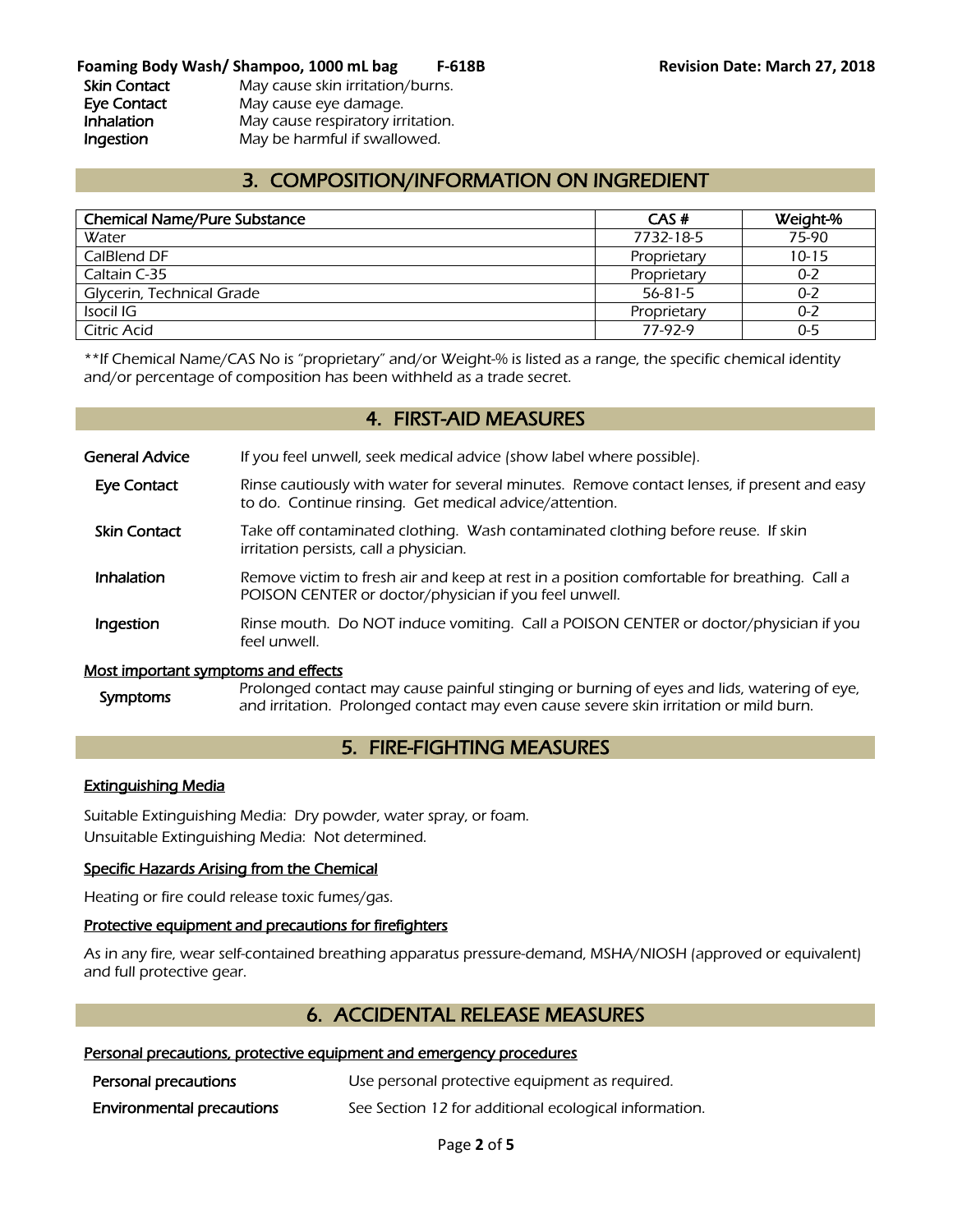# 3. COMPOSITION/INFORMATION ON INGREDIENT

| <b>Chemical Name/Pure Substance</b> | CAS#        | Weight-%  |
|-------------------------------------|-------------|-----------|
| Water                               | 7732-18-5   | 75-90     |
| CalBlend DF                         | Proprietary | $10 - 15$ |
| Caltain C-35                        | Proprietary | $0 - 2$   |
| Glycerin, Technical Grade           | 56-81-5     | $0 - 2$   |
| Isocil IG                           | Proprietary | $0 - 2$   |
| Citric Acid                         | 77-97-9     | $0 - 5$   |
|                                     |             |           |

\*\*If Chemical Name/CAS No is "proprietary" and/or Weight-% is listed as a range, the specific chemical identity and/or percentage of composition has been withheld as a trade secret.

### 4. FIRST-AID MEASURES

General Advice If you feel unwell, seek medical advice (show label where possible).

- Eye Contact Rinse cautiously with water for several minutes. Remove contact lenses, if present and easy to do. Continue rinsing. Get medical advice/attention.
- Skin Contact Take off contaminated clothing. Wash contaminated clothing before reuse. If skin irritation persists, call a physician.
- **Inhalation** Remove victim to fresh air and keep at rest in a position comfortable for breathing. Call a POISON CENTER or doctor/physician if you feel unwell.
- **Ingestion** Rinse mouth. Do NOT induce vomiting. Call a POISON CENTER or doctor/physician if you feel unwell.

#### Most important symptoms and effects

Symptoms Prolonged contact may cause painful stinging or burning of eyes and lids, watering of eye, and irritation. Prolonged contact may even cause severe skin irritation or mild burn.

### 5. FIRE-FIGHTING MEASURES

#### Extinguishing Media

Suitable Extinguishing Media: Dry powder, water spray, or foam. Unsuitable Extinguishing Media: Not determined.

### Specific Hazards Arising from the Chemical

Heating or fire could release toxic fumes/gas.

### Protective equipment and precautions for firefighters

As in any fire, wear self-contained breathing apparatus pressure-demand, MSHA/NIOSH (approved or equivalent) and full protective gear.

### 6. ACCIDENTAL RELEASE MEASURES

### Personal precautions, protective equipment and emergency procedures

| Personal precautions             | Use personal protective equipment as required.        |
|----------------------------------|-------------------------------------------------------|
| <b>Environmental precautions</b> | See Section 12 for additional ecological information. |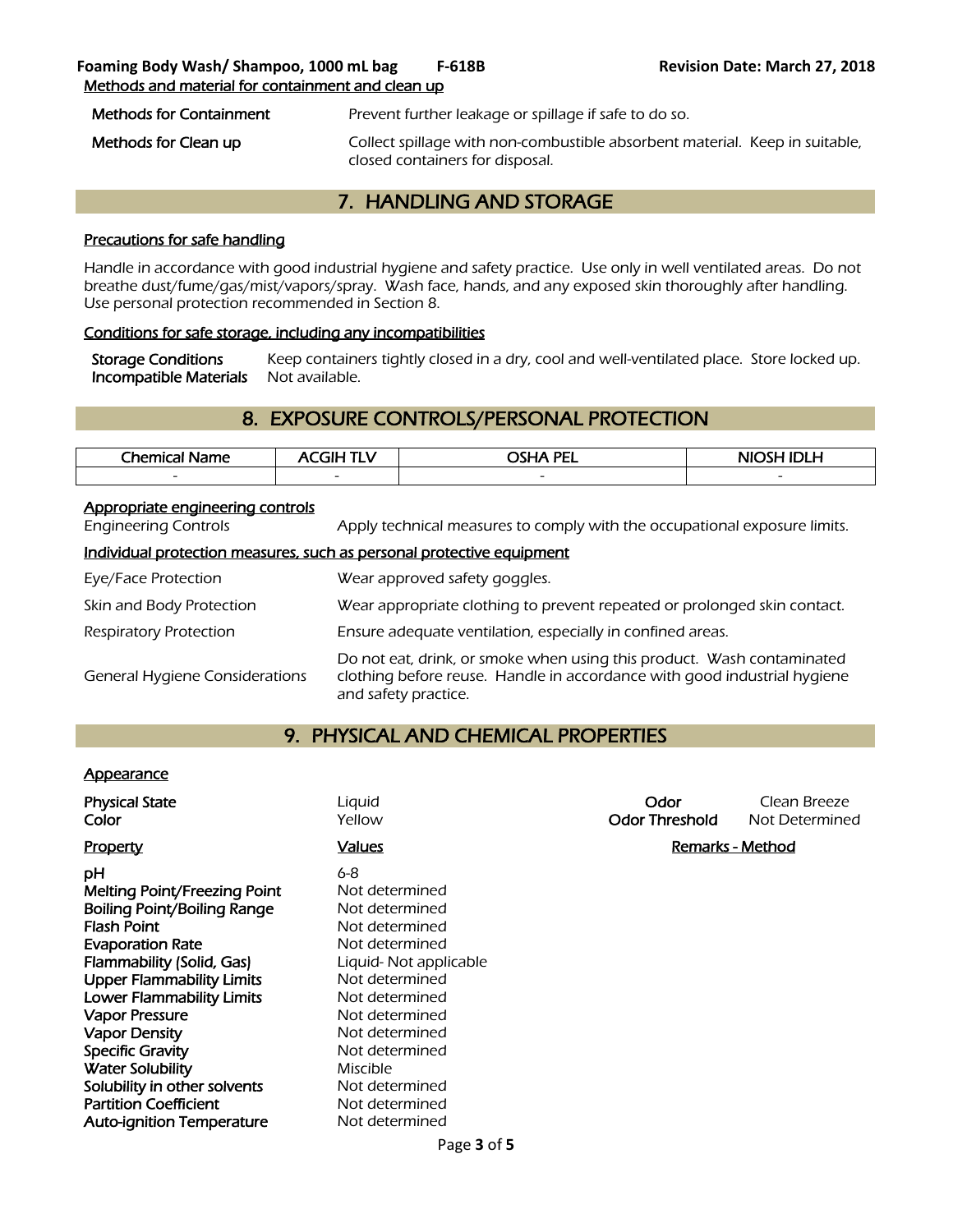Methods for Containment Prevent further leakage or spillage if safe to do so.

Methods for Clean up **Collect spillage with non-combustible absorbent material.** Keep in suitable, closed containers for disposal.

### 7. HANDLING AND STORAGE

### Precautions for safe handling

Handle in accordance with good industrial hygiene and safety practice. Use only in well ventilated areas. Do not breathe dust/fume/gas/mist/vapors/spray. Wash face, hands, and any exposed skin thoroughly after handling. Use personal protection recommended in Section 8.

### Conditions for safe storage, including any incompatibilities

Storage Conditions Keep containers tightly closed in a dry, cool and well-ventilated place. Store locked up. Incompatible Materials Not available.

# 8. EXPOSURE CONTROLS/PERSONAL PROTECTION

| The mical <sub>1</sub><br>Name | <b>GIHT</b><br>1 L V     | <b>PEL</b><br>- -<br>пл. | NIOSH IDI H<br>-0 |
|--------------------------------|--------------------------|--------------------------|-------------------|
| $\overline{\phantom{a}}$       | $\overline{\phantom{0}}$ | $\overline{\phantom{0}}$ | $\sim$            |
|                                |                          |                          |                   |

### Appropriate engineering controls

Engineering Controls Apply technical measures to comply with the occupational exposure limits.

### Individual protection measures, such as personal protective equipment

| Eye/Face Protection                   | Wear approved safety goggles.                                                                                                                                              |
|---------------------------------------|----------------------------------------------------------------------------------------------------------------------------------------------------------------------------|
| Skin and Body Protection              | Wear appropriate clothing to prevent repeated or prolonged skin contact.                                                                                                   |
| Respiratory Protection                | Ensure adequate ventilation, especially in confined areas.                                                                                                                 |
| <b>General Hygiene Considerations</b> | Do not eat, drink, or smoke when using this product. Wash contaminated<br>clothing before reuse. Handle in accordance with good industrial hygiene<br>and safety practice. |

### 9. PHYSICAL AND CHEMICAL PROPERTIES

### **Appearance**

| <b>Physical State</b><br>Liguid<br>Yellow<br>Color                                                                                                                                                                                                                                                                                                                                                                                                                                                                                                                                                                                                                                                                 | Odor<br><b>Odor Threshold</b> | Clean Breeze<br>Not Determined |
|--------------------------------------------------------------------------------------------------------------------------------------------------------------------------------------------------------------------------------------------------------------------------------------------------------------------------------------------------------------------------------------------------------------------------------------------------------------------------------------------------------------------------------------------------------------------------------------------------------------------------------------------------------------------------------------------------------------------|-------------------------------|--------------------------------|
| <b>Values</b><br><b>Property</b>                                                                                                                                                                                                                                                                                                                                                                                                                                                                                                                                                                                                                                                                                   | Remarks - Method              |                                |
| $6 - 8$<br>рH<br>Melting Point/Freezing Point<br>Not determined<br><b>Boiling Point/Boiling Range</b><br>Not determined<br><b>Flash Point</b><br>Not determined<br><b>Evaporation Rate</b><br>Not determined<br>Flammability (Solid, Gas)<br>Liquid- Not applicable<br><b>Upper Flammability Limits</b><br>Not determined<br><b>Lower Flammability Limits</b><br>Not determined<br><b>Vapor Pressure</b><br>Not determined<br><b>Vapor Density</b><br>Not determined<br><b>Specific Gravity</b><br>Not determined<br><b>Water Solubility</b><br>Miscible<br>Solubility in other solvents<br>Not determined<br><b>Partition Coefficient</b><br>Not determined<br><b>Auto-ignition Temperature</b><br>Not determined |                               |                                |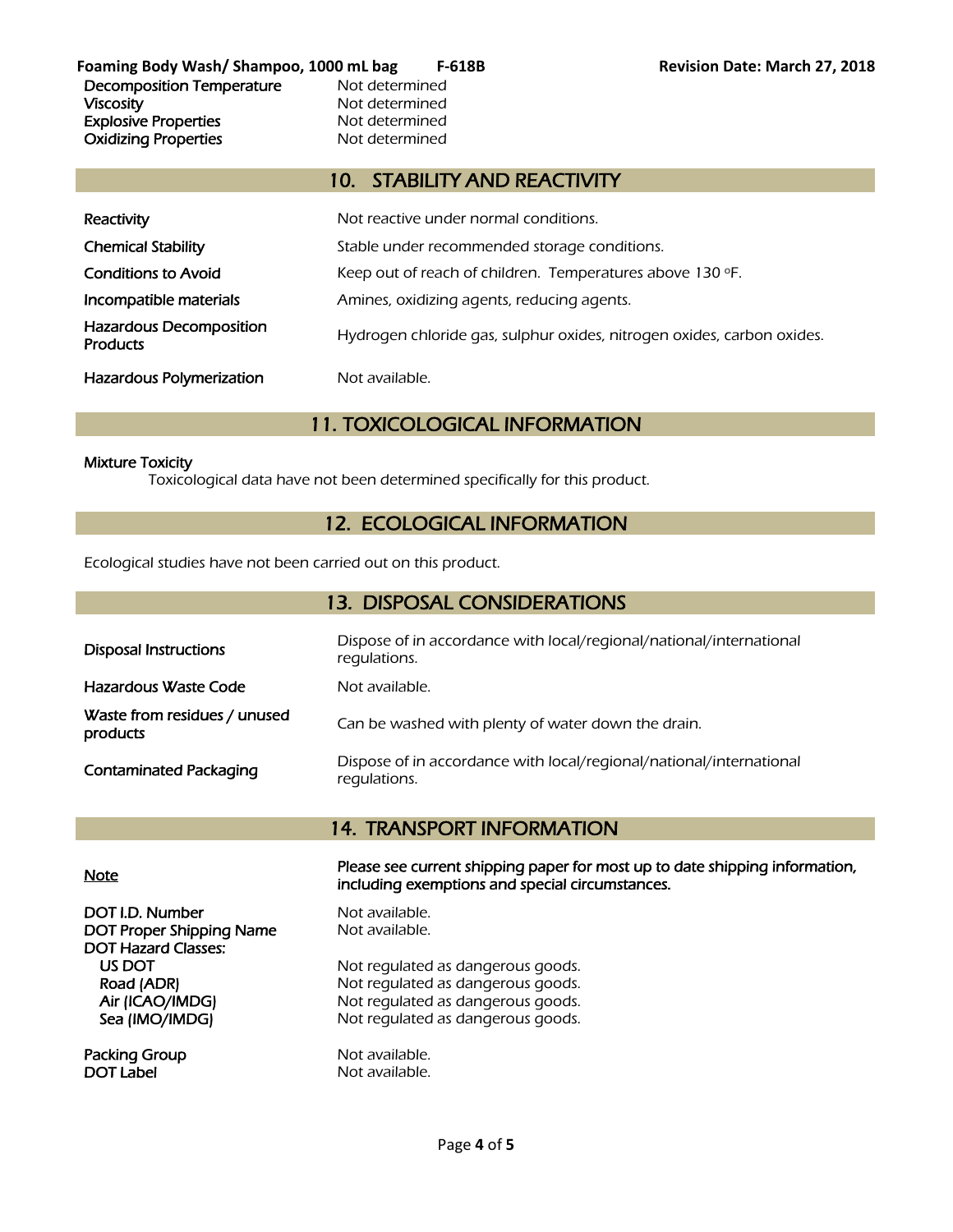**Foaming Body Wash/ Shampoo, 1000 mL bag F-618B Revision Date: March 27, 2018** Decomposition Temperature Mot determined Viscosity **Not determined** Explosive Properties<br>
Oxidizing Properties<br>
Oxidizing Properties<br>
Not determined **Oxidizing Properties** 

### 10. STABILITY AND REACTIVITY

| Reactivity                                        | Not reactive under normal conditions.                                  |
|---------------------------------------------------|------------------------------------------------------------------------|
| <b>Chemical Stability</b>                         | Stable under recommended storage conditions.                           |
| <b>Conditions to Avoid</b>                        | Keep out of reach of children. Temperatures above 130 °F.              |
| Incompatible materials                            | Amines, oxidizing agents, reducing agents.                             |
| <b>Hazardous Decomposition</b><br><b>Products</b> | Hydrogen chloride gas, sulphur oxides, nitrogen oxides, carbon oxides. |
| <b>Hazardous Polymerization</b>                   | Not available.                                                         |

# 11. TOXICOLOGICAL INFORMATION

### Mixture Toxicity

Toxicological data have not been determined specifically for this product.

# 12. ECOLOGICAL INFORMATION

Ecological studies have not been carried out on this product.

| 13. DISPOSAL CONSIDERATIONS              |                                                                                     |  |
|------------------------------------------|-------------------------------------------------------------------------------------|--|
| <b>Disposal Instructions</b>             | Dispose of in accordance with local/regional/national/international<br>requlations. |  |
| <b>Hazardous Waste Code</b>              | Not available.                                                                      |  |
| Waste from residues / unused<br>products | Can be washed with plenty of water down the drain.                                  |  |
| <b>Contaminated Packaging</b>            | Dispose of in accordance with local/regional/national/international<br>regulations. |  |

### 14. TRANSPORT INFORMATION

DOT I.D. Number Not available. DOT Proper Shipping Name Not available. DOT Hazard Classes:

Packing Group Not available. DOT Label Not available.

Note Please see current shipping paper for most up to date shipping information, including exemptions and special circumstances.

US DOT Not regulated as dangerous goods.<br>
Road (ADR) Not regulated as dangerous goods. Not regulated as dangerous goods. Air (ICAO/IMDG) Not regulated as dangerous goods. Sea (IMO/IMDG) Not regulated as dangerous goods.